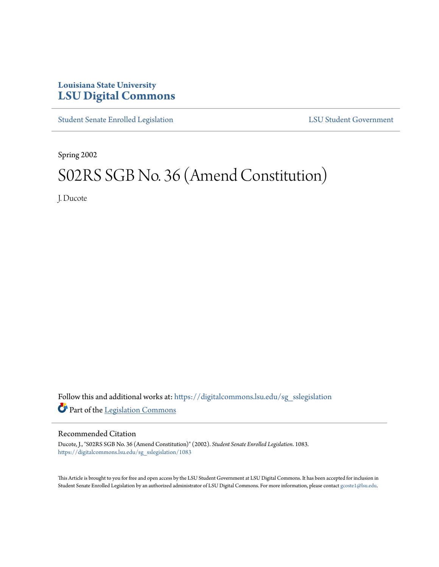## **Louisiana State University [LSU Digital Commons](https://digitalcommons.lsu.edu?utm_source=digitalcommons.lsu.edu%2Fsg_sslegislation%2F1083&utm_medium=PDF&utm_campaign=PDFCoverPages)**

[Student Senate Enrolled Legislation](https://digitalcommons.lsu.edu/sg_sslegislation?utm_source=digitalcommons.lsu.edu%2Fsg_sslegislation%2F1083&utm_medium=PDF&utm_campaign=PDFCoverPages) [LSU Student Government](https://digitalcommons.lsu.edu/sg?utm_source=digitalcommons.lsu.edu%2Fsg_sslegislation%2F1083&utm_medium=PDF&utm_campaign=PDFCoverPages)

Spring 2002

# S02RS SGB No. 36 (Amend Constitution)

J. Ducote

Follow this and additional works at: [https://digitalcommons.lsu.edu/sg\\_sslegislation](https://digitalcommons.lsu.edu/sg_sslegislation?utm_source=digitalcommons.lsu.edu%2Fsg_sslegislation%2F1083&utm_medium=PDF&utm_campaign=PDFCoverPages) Part of the [Legislation Commons](http://network.bepress.com/hgg/discipline/859?utm_source=digitalcommons.lsu.edu%2Fsg_sslegislation%2F1083&utm_medium=PDF&utm_campaign=PDFCoverPages)

#### Recommended Citation

Ducote, J., "S02RS SGB No. 36 (Amend Constitution)" (2002). *Student Senate Enrolled Legislation*. 1083. [https://digitalcommons.lsu.edu/sg\\_sslegislation/1083](https://digitalcommons.lsu.edu/sg_sslegislation/1083?utm_source=digitalcommons.lsu.edu%2Fsg_sslegislation%2F1083&utm_medium=PDF&utm_campaign=PDFCoverPages)

This Article is brought to you for free and open access by the LSU Student Government at LSU Digital Commons. It has been accepted for inclusion in Student Senate Enrolled Legislation by an authorized administrator of LSU Digital Commons. For more information, please contact [gcoste1@lsu.edu.](mailto:gcoste1@lsu.edu)